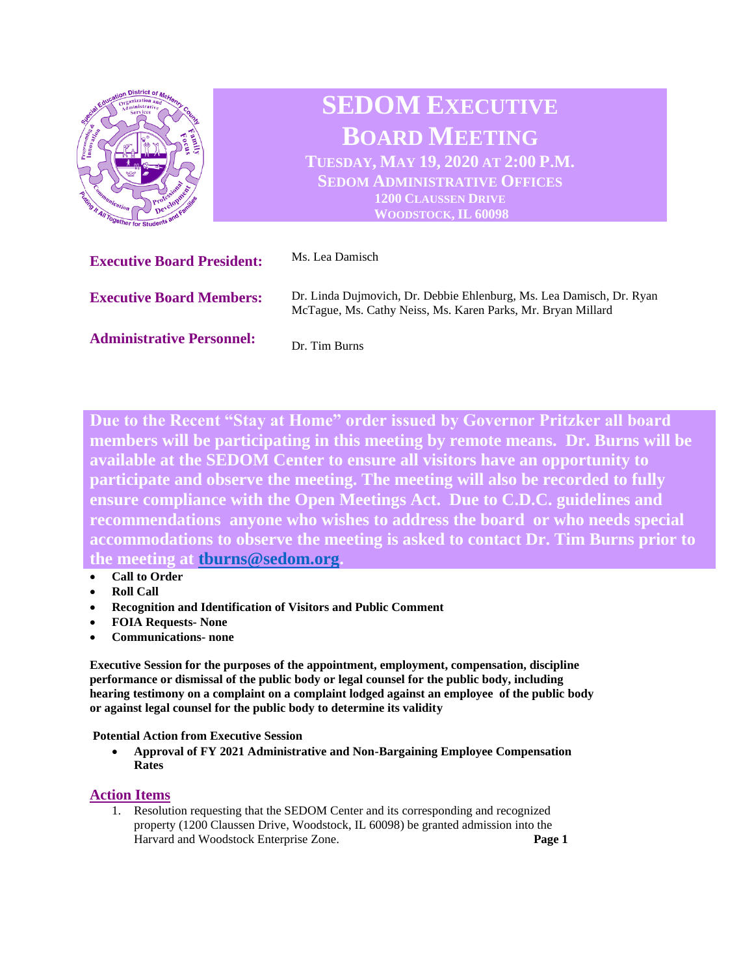

**Due to the Recent "Stay at Home" order issued by Governor Pritzker all board members will be participating in this meeting by remote means. Dr. Burns will be available at the SEDOM Center to ensure all visitors have an opportunity to participate and observe the meeting. The meeting will also be recorded to fully ensure compliance with the Open Meetings Act. Due to C.D.C. guidelines and recommendations anyone who wishes to address the board or who needs special accommodations to observe the meeting is asked to contact Dr. Tim Burns prior to the meeting at [tburns@sedom.org.](mailto:tburns@sedom.org)** 

- **Call to Order**
- **Roll Call**
- **Recognition and Identification of Visitors and Public Comment**
- **FOIA Requests- None**
- **Communications- none**

**Executive Session for the purposes of the appointment, employment, compensation, discipline performance or dismissal of the public body or legal counsel for the public body, including hearing testimony on a complaint on a complaint lodged against an employee of the public body or against legal counsel for the public body to determine its validity**

**Potential Action from Executive Session** 

• **Approval of FY 2021 Administrative and Non-Bargaining Employee Compensation Rates**

## **Action Items**

1. Resolution requesting that the SEDOM Center and its corresponding and recognized property (1200 Claussen Drive, Woodstock, IL 60098) be granted admission into the Harvard and Woodstock Enterprise Zone. **Page 1**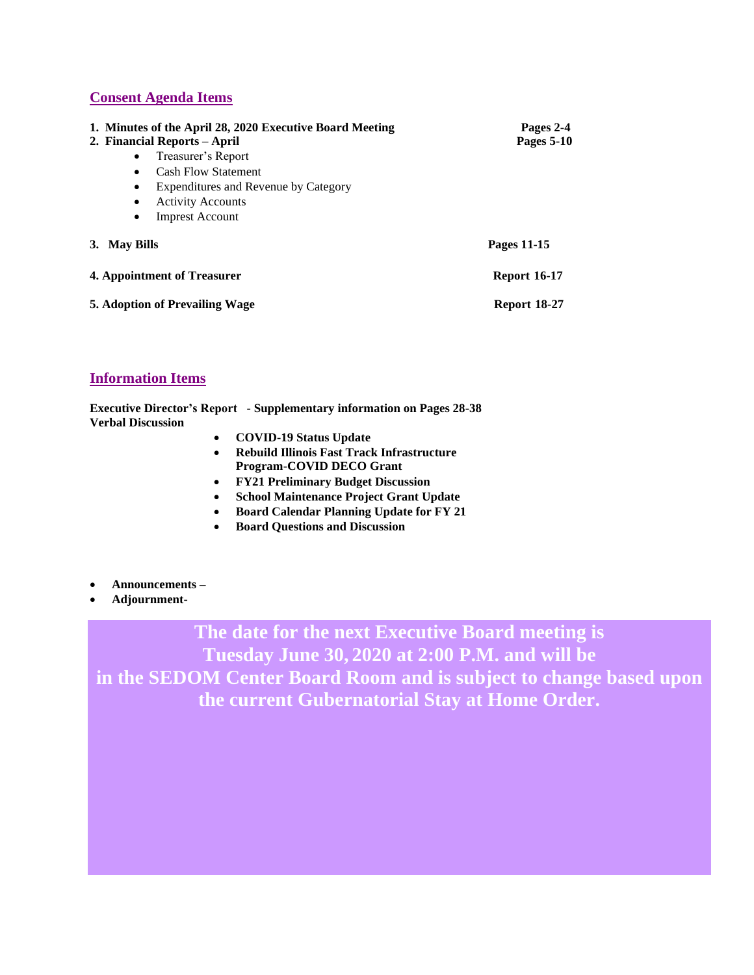## **Consent Agenda Items**

| 1. Minutes of the April 28, 2020 Executive Board Meeting<br>2. Financial Reports – April                                                                                                                        | Pages 2-4<br><b>Pages 5-10</b> |
|-----------------------------------------------------------------------------------------------------------------------------------------------------------------------------------------------------------------|--------------------------------|
| Treasurer's Report<br>$\bullet$<br><b>Cash Flow Statement</b><br>$\bullet$<br>Expenditures and Revenue by Category<br>$\bullet$<br><b>Activity Accounts</b><br>$\bullet$<br><b>Imprest Account</b><br>$\bullet$ |                                |
| 3. May Bills                                                                                                                                                                                                    | Pages 11-15                    |
| 4. Appointment of Treasurer                                                                                                                                                                                     | <b>Report 16-17</b>            |
| 5. Adoption of Prevailing Wage                                                                                                                                                                                  | <b>Report 18-27</b>            |

## **Information Items**

**Executive Director's Report - Supplementary information on Pages 28-38 Verbal Discussion** 

- **COVID-19 Status Update**
- **Rebuild Illinois Fast Track Infrastructure Program-COVID DECO Grant**
- **FY21 Preliminary Budget Discussion**
- **School Maintenance Project Grant Update**
- **Board Calendar Planning Update for FY 21**
- **Board Questions and Discussion**
- **Announcements –**
- **Adjournment-**

**The date for the next Executive Board meeting is Tuesday June 30, 2020 at 2:00 P.M. and will be in the SEDOM Center Board Room and is subject to change based upon the current Gubernatorial Stay at Home Order.**